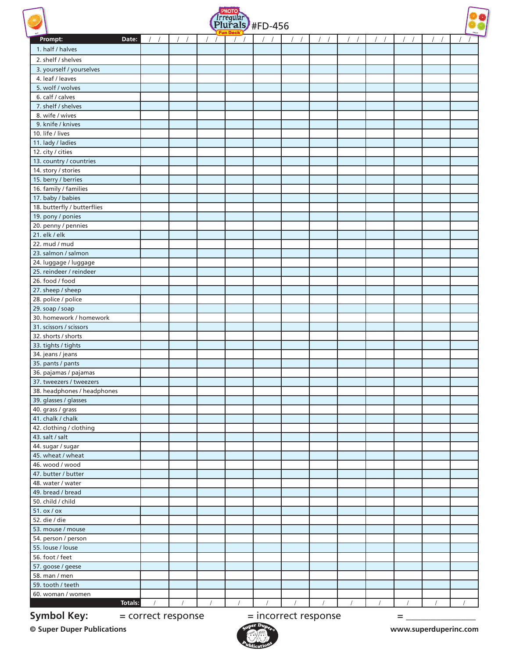





| half                                             |          |          |          | Fiul district-450 |          |            |          |          |            |          |          | halves   |
|--------------------------------------------------|----------|----------|----------|-------------------|----------|------------|----------|----------|------------|----------|----------|----------|
| Prompt:<br>Date:                                 |          |          |          | $\left  \right $  |          |            |          |          |            |          |          |          |
| 1. half / halves                                 |          |          |          |                   |          |            |          |          |            |          |          |          |
| 2. shelf / shelves                               |          |          |          |                   |          |            |          |          |            |          |          |          |
| 3. yourself / yourselves                         |          |          |          |                   |          |            |          |          |            |          |          |          |
| 4. leaf / leaves                                 |          |          |          |                   |          |            |          |          |            |          |          |          |
| 5. wolf / wolves                                 |          |          |          |                   |          |            |          |          |            |          |          |          |
| 6. calf / calves                                 |          |          |          |                   |          |            |          |          |            |          |          |          |
| 7. shelf / shelves                               |          |          |          |                   |          |            |          |          |            |          |          |          |
| 8. wife / wives                                  |          |          |          |                   |          |            |          |          |            |          |          |          |
| 9. knife / knives                                |          |          |          |                   |          |            |          |          |            |          |          |          |
| 10. life / lives                                 |          |          |          |                   |          |            |          |          |            |          |          |          |
| 11. lady / ladies                                |          |          |          |                   |          |            |          |          |            |          |          |          |
| 12. city / cities                                |          |          |          |                   |          |            |          |          |            |          |          |          |
| 13. country / countries                          |          |          |          |                   |          |            |          |          |            |          |          |          |
| 14. story / stories                              |          |          |          |                   |          |            |          |          |            |          |          |          |
| 15. berry / berries                              |          |          |          |                   |          |            |          |          |            |          |          |          |
| 16. family / families                            |          |          |          |                   |          |            |          |          |            |          |          |          |
|                                                  |          |          |          |                   |          |            |          |          |            |          |          |          |
| 17. baby / babies<br>18. butterfly / butterflies |          |          |          |                   |          |            |          |          |            |          |          |          |
| 19. pony / ponies                                |          |          |          |                   |          |            |          |          |            |          |          |          |
|                                                  |          |          |          |                   |          |            |          |          |            |          |          |          |
| 20. penny / pennies<br>21. elk / elk             |          |          |          |                   |          |            |          |          |            |          |          |          |
|                                                  |          |          |          |                   |          |            |          |          |            |          |          |          |
| 22. mud / mud                                    |          |          |          |                   |          |            |          |          |            |          |          |          |
| 23. salmon / salmon                              |          |          |          |                   |          |            |          |          |            |          |          |          |
| 24. luggage / luggage                            |          |          |          |                   |          |            |          |          |            |          |          |          |
| 25. reindeer / reindeer                          |          |          |          |                   |          |            |          |          |            |          |          |          |
| 26. food / food                                  |          |          |          |                   |          |            |          |          |            |          |          |          |
| 27. sheep / sheep                                |          |          |          |                   |          |            |          |          |            |          |          |          |
| 28. police / police                              |          |          |          |                   |          |            |          |          |            |          |          |          |
| 29. soap / soap                                  |          |          |          |                   |          |            |          |          |            |          |          |          |
| 30. homework / homework                          |          |          |          |                   |          |            |          |          |            |          |          |          |
| 31. scissors / scissors                          |          |          |          |                   |          |            |          |          |            |          |          |          |
| 32. shorts / shorts                              |          |          |          |                   |          |            |          |          |            |          |          |          |
| 33. tights / tights                              |          |          |          |                   |          |            |          |          |            |          |          |          |
| 34. jeans / jeans                                |          |          |          |                   |          |            |          |          |            |          |          |          |
| 35. pants / pants                                |          |          |          |                   |          |            |          |          |            |          |          |          |
| 36. pajamas / pajamas                            |          |          |          |                   |          |            |          |          |            |          |          |          |
| 37. tweezers / tweezers                          |          |          |          |                   |          |            |          |          |            |          |          |          |
| 38. headphones / headphones                      |          |          |          |                   |          |            |          |          |            |          |          |          |
| 39. glasses / glasses                            |          |          |          |                   |          |            |          |          |            |          |          |          |
| 40. grass / grass                                |          |          |          |                   |          |            |          |          |            |          |          |          |
| 41. chalk / chalk                                |          |          |          |                   |          |            |          |          |            |          |          |          |
| 42. clothing / clothing                          |          |          |          |                   |          |            |          |          |            |          |          |          |
| 43. salt / salt                                  |          |          |          |                   |          |            |          |          |            |          |          |          |
| 44. sugar / sugar                                |          |          |          |                   |          |            |          |          |            |          |          |          |
| 45. wheat / wheat                                |          |          |          |                   |          |            |          |          |            |          |          |          |
| 46. wood / wood                                  |          |          |          |                   |          |            |          |          |            |          |          |          |
| 47. butter / butter                              |          |          |          |                   |          |            |          |          |            |          |          |          |
| 48. water / water                                |          |          |          |                   |          |            |          |          |            |          |          |          |
| 49. bread / bread                                |          |          |          |                   |          |            |          |          |            |          |          |          |
| 50. child / child                                |          |          |          |                   |          |            |          |          |            |          |          |          |
| $51.$ ox / ox                                    |          |          |          |                   |          |            |          |          |            |          |          |          |
| 52. die / die                                    |          |          |          |                   |          |            |          |          |            |          |          |          |
| 53. mouse / mouse                                |          |          |          |                   |          |            |          |          |            |          |          |          |
| 54. person / person                              |          |          |          |                   |          |            |          |          |            |          |          |          |
| 55. louse / louse                                |          |          |          |                   |          |            |          |          |            |          |          |          |
| 56. foot / feet                                  |          |          |          |                   |          |            |          |          |            |          |          |          |
| 57. goose / geese                                |          |          |          |                   |          |            |          |          |            |          |          |          |
| 58. man / men                                    |          |          |          |                   |          |            |          |          |            |          |          |          |
| 59. tooth / teeth                                |          |          |          |                   |          |            |          |          |            |          |          |          |
| 60. woman / women                                |          |          |          |                   |          |            |          |          |            |          |          |          |
| Totals:                                          | $\prime$ | $\prime$ | $\prime$ | $\sqrt{ }$        | $\prime$ | $\sqrt{ }$ | $\prime$ | $\prime$ | $\sqrt{ }$ | $\prime$ | $\prime$ | $\prime$ |